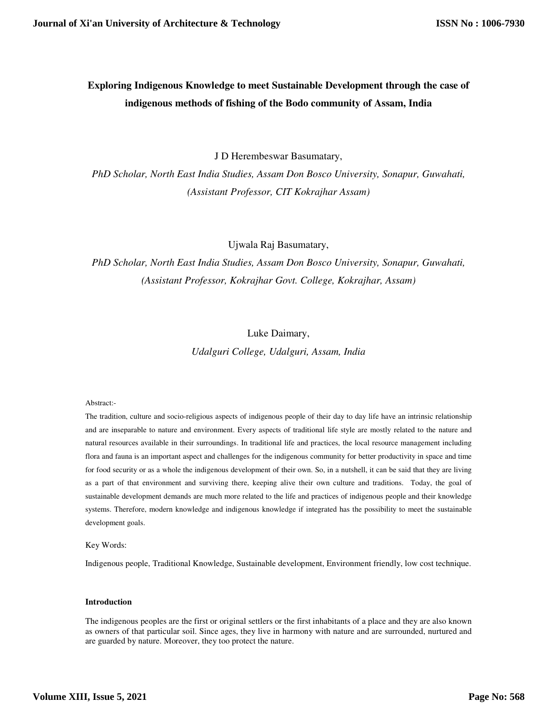# **Exploring Indigenous Knowledge to meet Sustainable Development through the case of indigenous methods of fishing of the Bodo community of Assam, India**

J D Herembeswar Basumatary,

*PhD Scholar, North East India Studies, Assam Don Bosco University, Sonapur, Guwahati, (Assistant Professor, CIT Kokrajhar Assam)* 

Ujwala Raj Basumatary,

*PhD Scholar, North East India Studies, Assam Don Bosco University, Sonapur, Guwahati, (Assistant Professor, Kokrajhar Govt. College, Kokrajhar, Assam)* 

# Luke Daimary,

*Udalguri College, Udalguri, Assam, India* 

## Abstract:-

The tradition, culture and socio-religious aspects of indigenous people of their day to day life have an intrinsic relationship and are inseparable to nature and environment. Every aspects of traditional life style are mostly related to the nature and natural resources available in their surroundings. In traditional life and practices, the local resource management including flora and fauna is an important aspect and challenges for the indigenous community for better productivity in space and time for food security or as a whole the indigenous development of their own. So, in a nutshell, it can be said that they are living as a part of that environment and surviving there, keeping alive their own culture and traditions. Today, the goal of sustainable development demands are much more related to the life and practices of indigenous people and their knowledge systems. Therefore, modern knowledge and indigenous knowledge if integrated has the possibility to meet the sustainable development goals.

Key Words:

Indigenous people, Traditional Knowledge, Sustainable development, Environment friendly, low cost technique.

## **Introduction**

The indigenous peoples are the first or original settlers or the first inhabitants of a place and they are also known as owners of that particular soil. Since ages, they live in harmony with nature and are surrounded, nurtured and are guarded by nature. Moreover, they too protect the nature.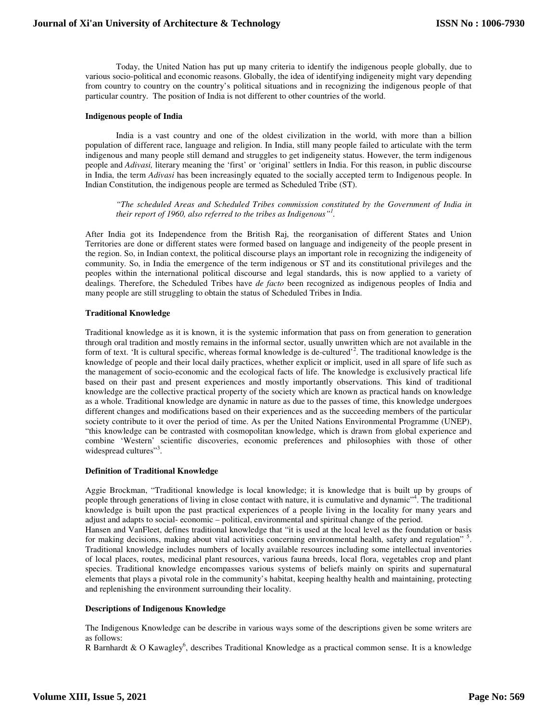Today, the United Nation has put up many criteria to identify the indigenous people globally, due to various socio-political and economic reasons. Globally, the idea of identifying indigeneity might vary depending from country to country on the country's political situations and in recognizing the indigenous people of that particular country. The position of India is not different to other countries of the world.

#### **Indigenous people of India**

India is a vast country and one of the oldest civilization in the world, with more than a billion population of different race, language and religion. In India, still many people failed to articulate with the term indigenous and many people still demand and struggles to get indigeneity status. However, the term indigenous people and *Adivasi,* literary meaning the 'first' or 'original' settlers in India. For this reason, in public discourse in India, the term *Adivasi* has been increasingly equated to the socially accepted term to Indigenous people. In Indian Constitution, the indigenous people are termed as Scheduled Tribe (ST).

*"The scheduled Areas and Scheduled Tribes commission constituted by the Government of India in their report of 1960, also referred to the tribes as Indigenous"<sup>1</sup> .* 

After India got its Independence from the British Raj, the reorganisation of different States and Union Territories are done or different states were formed based on language and indigeneity of the people present in the region. So, in Indian context, the political discourse plays an important role in recognizing the indigeneity of community. So, in India the emergence of the term indigenous or ST and its constitutional privileges and the peoples within the international political discourse and legal standards, this is now applied to a variety of dealings. Therefore, the Scheduled Tribes have *de facto* been recognized as indigenous peoples of India and many people are still struggling to obtain the status of Scheduled Tribes in India.

#### **Traditional Knowledge**

Traditional knowledge as it is known, it is the systemic information that pass on from generation to generation through oral tradition and mostly remains in the informal sector, usually unwritten which are not available in the form of text. 'It is cultural specific, whereas formal knowledge is de-cultured'<sup>2</sup>. The traditional knowledge is the knowledge of people and their local daily practices, whether explicit or implicit, used in all spare of life such as the management of socio-economic and the ecological facts of life. The knowledge is exclusively practical life based on their past and present experiences and mostly importantly observations. This kind of traditional knowledge are the collective practical property of the society which are known as practical hands on knowledge as a whole. Traditional knowledge are dynamic in nature as due to the passes of time, this knowledge undergoes different changes and modifications based on their experiences and as the succeeding members of the particular society contribute to it over the period of time. As per the United Nations Environmental Programme (UNEP), "this knowledge can be contrasted with cosmopolitan knowledge, which is drawn from global experience and combine 'Western' scientific discoveries, economic preferences and philosophies with those of other widespread cultures"<sup>3</sup>.

# **Definition of Traditional Knowledge**

Aggie Brockman, "Traditional knowledge is local knowledge; it is knowledge that is built up by groups of people through generations of living in close contact with nature, it is cumulative and dynamic"<sup>4</sup>. The traditional knowledge is built upon the past practical experiences of a people living in the locality for many years and adjust and adapts to social- economic – political, environmental and spiritual change of the period.

Hansen and VanFleet, defines traditional knowledge that "it is used at the local level as the foundation or basis for making decisions, making about vital activities concerning environmental health, safety and regulation"<sup>5</sup>. Traditional knowledge includes numbers of locally available resources including some intellectual inventories of local places, routes, medicinal plant resources, various fauna breeds, local flora, vegetables crop and plant species. Traditional knowledge encompasses various systems of beliefs mainly on spirits and supernatural elements that plays a pivotal role in the community's habitat, keeping healthy health and maintaining, protecting and replenishing the environment surrounding their locality.

#### **Descriptions of Indigenous Knowledge**

The Indigenous Knowledge can be describe in various ways some of the descriptions given be some writers are as follows:

R Barnhardt & O Kawagley<sup>6</sup>, describes Traditional Knowledge as a practical common sense. It is a knowledge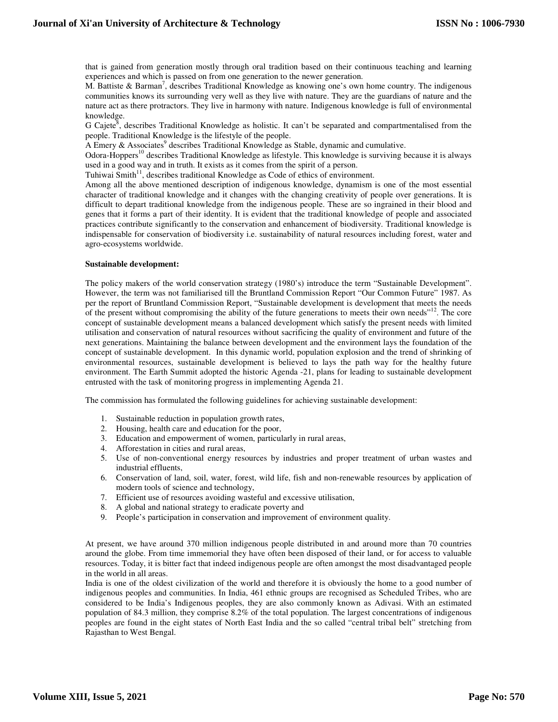that is gained from generation mostly through oral tradition based on their continuous teaching and learning experiences and which is passed on from one generation to the newer generation.

M. Battiste & Barman<sup>7</sup>, describes Traditional Knowledge as knowing one's own home country. The indigenous communities knows its surrounding very well as they live with nature. They are the guardians of nature and the nature act as there protractors. They live in harmony with nature. Indigenous knowledge is full of environmental knowledge.

G Cajete<sup>8</sup>, describes Traditional Knowledge as holistic. It can't be separated and compartmentalised from the people. Traditional Knowledge is the lifestyle of the people.

A Emery  $\&$  Associates<sup>9</sup> describes Traditional Knowledge as Stable, dynamic and cumulative.

Odora-Hoppers<sup>10</sup> describes Traditional Knowledge as lifestyle. This knowledge is surviving because it is always used in a good way and in truth. It exists as it comes from the spirit of a person.

Tuhiwai Smith<sup>11</sup>, describes traditional Knowledge as Code of ethics of environment.

Among all the above mentioned description of indigenous knowledge, dynamism is one of the most essential character of traditional knowledge and it changes with the changing creativity of people over generations. It is difficult to depart traditional knowledge from the indigenous people. These are so ingrained in their blood and genes that it forms a part of their identity. It is evident that the traditional knowledge of people and associated practices contribute significantly to the conservation and enhancement of biodiversity. Traditional knowledge is indispensable for conservation of biodiversity i.e. sustainability of natural resources including forest, water and agro-ecosystems worldwide.

#### **Sustainable development:**

The policy makers of the world conservation strategy (1980's) introduce the term "Sustainable Development". However, the term was not familiarised till the Bruntland Commission Report "Our Common Future" 1987. As per the report of Bruntland Commission Report, "Sustainable development is development that meets the needs of the present without compromising the ability of the future generations to meets their own needs"<sup>12</sup>. The core concept of sustainable development means a balanced development which satisfy the present needs with limited utilisation and conservation of natural resources without sacrificing the quality of environment and future of the next generations. Maintaining the balance between development and the environment lays the foundation of the concept of sustainable development. In this dynamic world, population explosion and the trend of shrinking of environmental resources, sustainable development is believed to lays the path way for the healthy future environment. The Earth Summit adopted the historic Agenda -21, plans for leading to sustainable development entrusted with the task of monitoring progress in implementing Agenda 21.

The commission has formulated the following guidelines for achieving sustainable development:

- 1. Sustainable reduction in population growth rates,
- 2. Housing, health care and education for the poor,
- 3. Education and empowerment of women, particularly in rural areas,
- 4. Afforestation in cities and rural areas,
- 5. Use of non-conventional energy resources by industries and proper treatment of urban wastes and industrial effluents,
- 6. Conservation of land, soil, water, forest, wild life, fish and non-renewable resources by application of modern tools of science and technology,
- 7. Efficient use of resources avoiding wasteful and excessive utilisation,
- 8. A global and national strategy to eradicate poverty and
- 9. People's participation in conservation and improvement of environment quality.

At present, we have around 370 million indigenous people distributed in and around more than 70 countries around the globe. From time immemorial they have often been disposed of their land, or for access to valuable resources. Today, it is bitter fact that indeed indigenous people are often amongst the most disadvantaged people in the world in all areas.

India is one of the oldest civilization of the world and therefore it is obviously the home to a good number of indigenous peoples and communities. In India, 461 ethnic groups are recognised as Scheduled Tribes, who are considered to be India's Indigenous peoples, they are also commonly known as Adivasi. With an estimated population of 84.3 million, they comprise 8.2% of the total population. The largest concentrations of indigenous peoples are found in the eight states of North East India and the so called "central tribal belt" stretching from Rajasthan to West Bengal.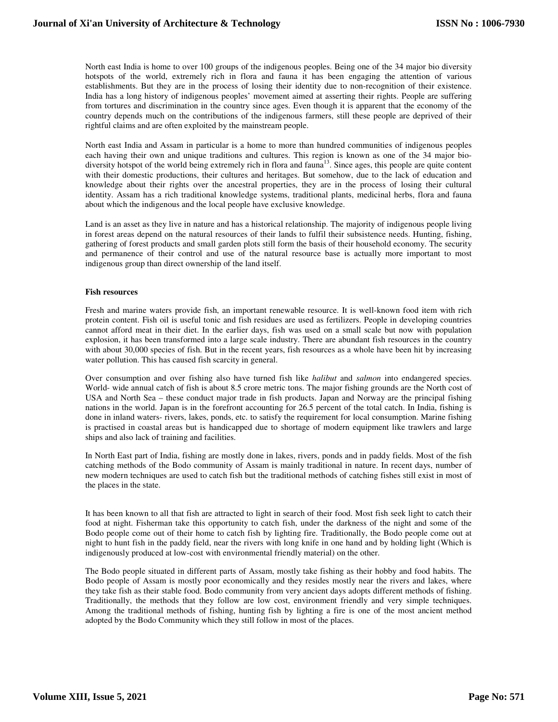North east India is home to over 100 groups of the indigenous peoples. Being one of the 34 major bio diversity hotspots of the world, extremely rich in flora and fauna it has been engaging the attention of various establishments. But they are in the process of losing their identity due to non-recognition of their existence. India has a long history of indigenous peoples' movement aimed at asserting their rights. People are suffering from tortures and discrimination in the country since ages. Even though it is apparent that the economy of the country depends much on the contributions of the indigenous farmers, still these people are deprived of their rightful claims and are often exploited by the mainstream people.

North east India and Assam in particular is a home to more than hundred communities of indigenous peoples each having their own and unique traditions and cultures. This region is known as one of the 34 major biodiversity hotspot of the world being extremely rich in flora and fauna<sup>13</sup>. Since ages, this people are quite content with their domestic productions, their cultures and heritages. But somehow, due to the lack of education and knowledge about their rights over the ancestral properties, they are in the process of losing their cultural identity. Assam has a rich traditional knowledge systems, traditional plants, medicinal herbs, flora and fauna about which the indigenous and the local people have exclusive knowledge.

Land is an asset as they live in nature and has a historical relationship. The majority of indigenous people living in forest areas depend on the natural resources of their lands to fulfil their subsistence needs. Hunting, fishing, gathering of forest products and small garden plots still form the basis of their household economy. The security and permanence of their control and use of the natural resource base is actually more important to most indigenous group than direct ownership of the land itself.

#### **Fish resources**

Fresh and marine waters provide fish, an important renewable resource. It is well-known food item with rich protein content. Fish oil is useful tonic and fish residues are used as fertilizers. People in developing countries cannot afford meat in their diet. In the earlier days, fish was used on a small scale but now with population explosion, it has been transformed into a large scale industry. There are abundant fish resources in the country with about 30,000 species of fish. But in the recent years, fish resources as a whole have been hit by increasing water pollution. This has caused fish scarcity in general.

Over consumption and over fishing also have turned fish like *halibut* and *salmon* into endangered species. World- wide annual catch of fish is about 8.5 crore metric tons. The major fishing grounds are the North cost of USA and North Sea – these conduct major trade in fish products. Japan and Norway are the principal fishing nations in the world. Japan is in the forefront accounting for 26.5 percent of the total catch. In India, fishing is done in inland waters- rivers, lakes, ponds, etc. to satisfy the requirement for local consumption. Marine fishing is practised in coastal areas but is handicapped due to shortage of modern equipment like trawlers and large ships and also lack of training and facilities.

In North East part of India, fishing are mostly done in lakes, rivers, ponds and in paddy fields. Most of the fish catching methods of the Bodo community of Assam is mainly traditional in nature. In recent days, number of new modern techniques are used to catch fish but the traditional methods of catching fishes still exist in most of the places in the state.

It has been known to all that fish are attracted to light in search of their food. Most fish seek light to catch their food at night. Fisherman take this opportunity to catch fish, under the darkness of the night and some of the Bodo people come out of their home to catch fish by lighting fire. Traditionally, the Bodo people come out at night to hunt fish in the paddy field, near the rivers with long knife in one hand and by holding light (Which is indigenously produced at low-cost with environmental friendly material) on the other.

The Bodo people situated in different parts of Assam, mostly take fishing as their hobby and food habits. The Bodo people of Assam is mostly poor economically and they resides mostly near the rivers and lakes, where they take fish as their stable food. Bodo community from very ancient days adopts different methods of fishing. Traditionally, the methods that they follow are low cost, environment friendly and very simple techniques. Among the traditional methods of fishing, hunting fish by lighting a fire is one of the most ancient method adopted by the Bodo Community which they still follow in most of the places.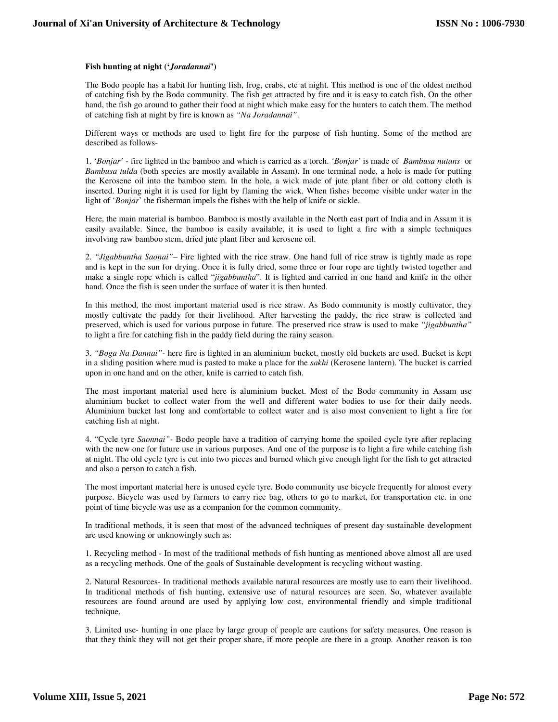#### **Fish hunting at night ('***Joradannai***')**

The Bodo people has a habit for hunting fish, frog, crabs, etc at night. This method is one of the oldest method of catching fish by the Bodo community. The fish get attracted by fire and it is easy to catch fish. On the other hand, the fish go around to gather their food at night which make easy for the hunters to catch them. The method of catching fish at night by fire is known as *"Na Joradannai"*.

Different ways or methods are used to light fire for the purpose of fish hunting. Some of the method are described as follows-

1. *'Bonjar'* - fire lighted in the bamboo and which is carried as a torch. *'Bonjar'* is made of *Bambusa nutans* or *Bambusa tulda* (both species are mostly available in Assam). In one terminal node, a hole is made for putting the Kerosene oil into the bamboo stem. In the hole, a wick made of jute plant fiber or old cottony cloth is inserted. During night it is used for light by flaming the wick. When fishes become visible under water in the light of '*Bonjar*' the fisherman impels the fishes with the help of knife or sickle.

Here, the main material is bamboo. Bamboo is mostly available in the North east part of India and in Assam it is easily available. Since, the bamboo is easily available, it is used to light a fire with a simple techniques involving raw bamboo stem, dried jute plant fiber and kerosene oil.

2. *"Jigabbuntha Saonai"*– Fire lighted with the rice straw. One hand full of rice straw is tightly made as rope and is kept in the sun for drying. Once it is fully dried, some three or four rope are tightly twisted together and make a single rope which is called "*jigabbuntha*". It is lighted and carried in one hand and knife in the other hand. Once the fish is seen under the surface of water it is then hunted.

In this method, the most important material used is rice straw. As Bodo community is mostly cultivator, they mostly cultivate the paddy for their livelihood. After harvesting the paddy, the rice straw is collected and preserved, which is used for various purpose in future. The preserved rice straw is used to make *"jigabbuntha"*  to light a fire for catching fish in the paddy field during the rainy season.

3. *"Boga Na Dannai"-* here fire is lighted in an aluminium bucket, mostly old buckets are used. Bucket is kept in a sliding position where mud is pasted to make a place for the *sakhi* (Kerosene lantern). The bucket is carried upon in one hand and on the other, knife is carried to catch fish.

The most important material used here is aluminium bucket. Most of the Bodo community in Assam use aluminium bucket to collect water from the well and different water bodies to use for their daily needs. Aluminium bucket last long and comfortable to collect water and is also most convenient to light a fire for catching fish at night.

4. "Cycle tyre *Saonnai"-* Bodo people have a tradition of carrying home the spoiled cycle tyre after replacing with the new one for future use in various purposes. And one of the purpose is to light a fire while catching fish at night. The old cycle tyre is cut into two pieces and burned which give enough light for the fish to get attracted and also a person to catch a fish.

The most important material here is unused cycle tyre. Bodo community use bicycle frequently for almost every purpose. Bicycle was used by farmers to carry rice bag, others to go to market, for transportation etc. in one point of time bicycle was use as a companion for the common community.

In traditional methods, it is seen that most of the advanced techniques of present day sustainable development are used knowing or unknowingly such as:

1. Recycling method - In most of the traditional methods of fish hunting as mentioned above almost all are used as a recycling methods. One of the goals of Sustainable development is recycling without wasting.

2. Natural Resources- In traditional methods available natural resources are mostly use to earn their livelihood. In traditional methods of fish hunting, extensive use of natural resources are seen. So, whatever available resources are found around are used by applying low cost, environmental friendly and simple traditional technique.

3. Limited use- hunting in one place by large group of people are cautions for safety measures. One reason is that they think they will not get their proper share, if more people are there in a group. Another reason is too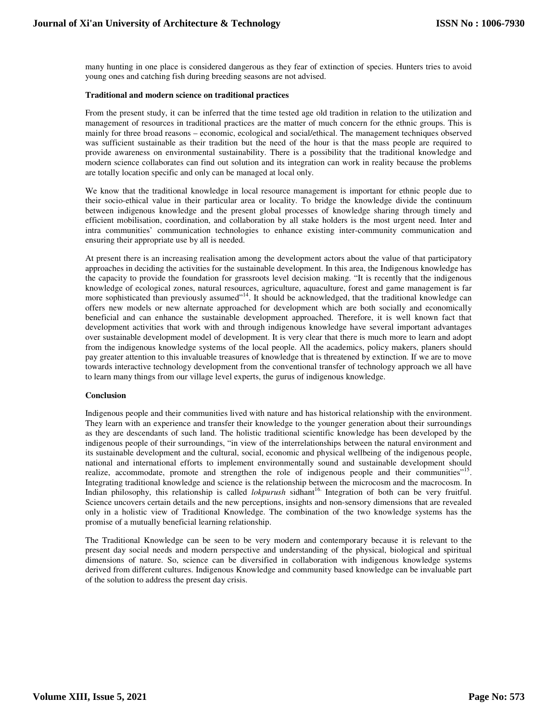many hunting in one place is considered dangerous as they fear of extinction of species. Hunters tries to avoid young ones and catching fish during breeding seasons are not advised.

#### **Traditional and modern science on traditional practices**

From the present study, it can be inferred that the time tested age old tradition in relation to the utilization and management of resources in traditional practices are the matter of much concern for the ethnic groups. This is mainly for three broad reasons – economic, ecological and social/ethical. The management techniques observed was sufficient sustainable as their tradition but the need of the hour is that the mass people are required to provide awareness on environmental sustainability. There is a possibility that the traditional knowledge and modern science collaborates can find out solution and its integration can work in reality because the problems are totally location specific and only can be managed at local only.

We know that the traditional knowledge in local resource management is important for ethnic people due to their socio-ethical value in their particular area or locality. To bridge the knowledge divide the continuum between indigenous knowledge and the present global processes of knowledge sharing through timely and efficient mobilisation, coordination, and collaboration by all stake holders is the most urgent need. Inter and intra communities' communication technologies to enhance existing inter-community communication and ensuring their appropriate use by all is needed.

At present there is an increasing realisation among the development actors about the value of that participatory approaches in deciding the activities for the sustainable development. In this area, the Indigenous knowledge has the capacity to provide the foundation for grassroots level decision making. "It is recently that the indigenous knowledge of ecological zones, natural resources, agriculture, aquaculture, forest and game management is far more sophisticated than previously assumed"<sup>14</sup>. It should be acknowledged, that the traditional knowledge can offers new models or new alternate approached for development which are both socially and economically beneficial and can enhance the sustainable development approached. Therefore, it is well known fact that development activities that work with and through indigenous knowledge have several important advantages over sustainable development model of development. It is very clear that there is much more to learn and adopt from the indigenous knowledge systems of the local people. All the academics, policy makers, planers should pay greater attention to this invaluable treasures of knowledge that is threatened by extinction. If we are to move towards interactive technology development from the conventional transfer of technology approach we all have to learn many things from our village level experts, the gurus of indigenous knowledge.

#### **Conclusion**

Indigenous people and their communities lived with nature and has historical relationship with the environment. They learn with an experience and transfer their knowledge to the younger generation about their surroundings as they are descendants of such land. The holistic traditional scientific knowledge has been developed by the indigenous people of their surroundings, "in view of the interrelationships between the natural environment and its sustainable development and the cultural, social, economic and physical wellbeing of the indigenous people, national and international efforts to implement environmentally sound and sustainable development should realize, accommodate, promote and strengthen the role of indigenous people and their communities"<sup>15</sup>. Integrating traditional knowledge and science is the relationship between the microcosm and the macrocosm. In Indian philosophy, this relationship is called *lokpurush* sidhant<sup>16.</sup> Integration of both can be very fruitful. Science uncovers certain details and the new perceptions, insights and non-sensory dimensions that are revealed only in a holistic view of Traditional Knowledge. The combination of the two knowledge systems has the promise of a mutually beneficial learning relationship.

The Traditional Knowledge can be seen to be very modern and contemporary because it is relevant to the present day social needs and modern perspective and understanding of the physical, biological and spiritual dimensions of nature. So, science can be diversified in collaboration with indigenous knowledge systems derived from different cultures. Indigenous Knowledge and community based knowledge can be invaluable part of the solution to address the present day crisis.